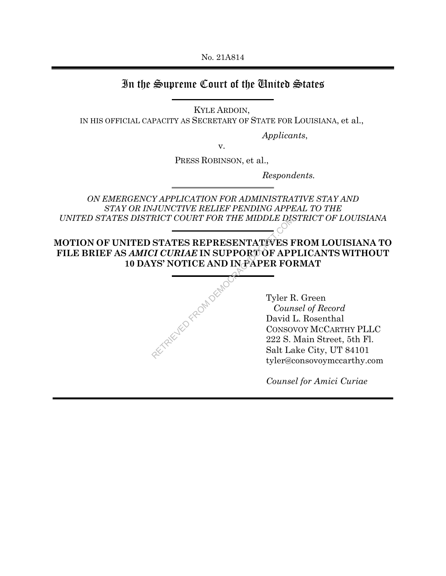No. 21A814

# In the Supreme Court of the United States

KYLE ARDOIN,

IN HIS OFFICIAL CAPACITY AS SECRETARY OF STATE FOR LOUISIANA, et al.,

 *Applicants*,

v.

PRESS ROBINSON, et al.,

 *Respondents.* 

*ON EMERGENCY APPLICATION FOR ADMINISTRATIVE STAY AND STAY OR INJUNCTIVE RELIEF PENDING APPEAL TO THE UNITED STATES DISTRICT COURT FOR THE MIDDLE DISTRICT OF LOUISIANA*

**MOTION OF UNITED STATES REPRESENTATIVES FROM LOUISIANA TO FILE BRIEF AS** *AMICI CURIAE* **IN SUPPORT OF APPLICANTS WITHOUT 10 DAYS' NOTICE AND IN PAPER FORMAT**

| RICT COURT FOR THE MIDDLE DR                                                                  |                                                                            |
|-----------------------------------------------------------------------------------------------|----------------------------------------------------------------------------|
| STATES REPRESENTATIVES H<br><i>CI CURIAE</i> IN SUPPORT OF API<br>YS' NOTICE AND IN PAPER FOI |                                                                            |
| TRIEVED FRE                                                                                   | Tyler F<br>Coun<br>David 1<br><b>CONSO</b><br>222 S.<br>Salt La<br>tyler@c |

Tyler R. Green *Counsel of Record*  David L. Rosenthal CONSOVOY MCCARTHY PLLC 222 S. Main Street, 5th Fl. Salt Lake City, UT 84101 tyler@consovoymccarthy.com

*Counsel for Amici Curiae*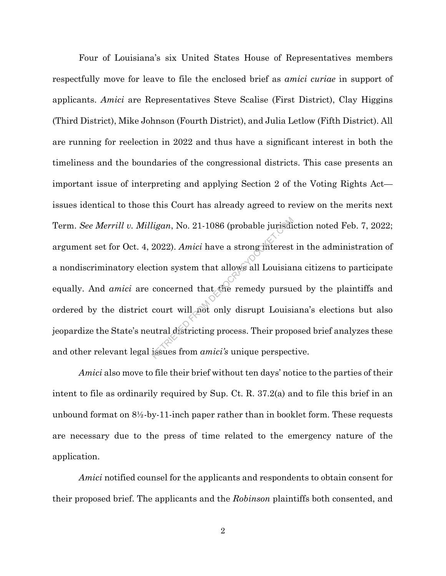Four of Louisiana's six United States House of Representatives members respectfully move for leave to file the enclosed brief as *amici curiae* in support of applicants. *Amici* are Representatives Steve Scalise (First District), Clay Higgins (Third District), Mike Johnson (Fourth District), and Julia Letlow (Fifth District). All are running for reelection in 2022 and thus have a significant interest in both the timeliness and the boundaries of the congressional districts. This case presents an important issue of interpreting and applying Section 2 of the Voting Rights Act issues identical to those this Court has already agreed to review on the merits next Term. *See Merrill v. Milligan*, No. 21-1086 (probable jurisdiction noted Feb. 7, 2022; argument set for Oct. 4, 2022). *Amici* have a strong interest in the administration of a nondiscriminatory election system that allows all Louisiana citizens to participate equally. And *amici* are concerned that the remedy pursued by the plaintiffs and ordered by the district court will not only disrupt Louisiana's elections but also jeopardize the State's neutral districting process. Their proposed brief analyzes these and other relevant legal issues from *amici's* unique perspective. ligan, No. 21-1086 (probable jurisdies)<br>2022). Amici have a strong interest<br>tion system that allows all Louisian<br>concerned that the remedy pursue<br>court will about only disrupt Louisi<br>utral districting process. Their prop

*Amici* also move to file their brief without ten days' notice to the parties of their intent to file as ordinarily required by Sup. Ct. R. 37.2(a) and to file this brief in an unbound format on  $8\frac{1}{2}$ -by-11-inch paper rather than in booklet form. These requests are necessary due to the press of time related to the emergency nature of the application.

*Amici* notified counsel for the applicants and respondents to obtain consent for their proposed brief. The applicants and the *Robinson* plaintiffs both consented, and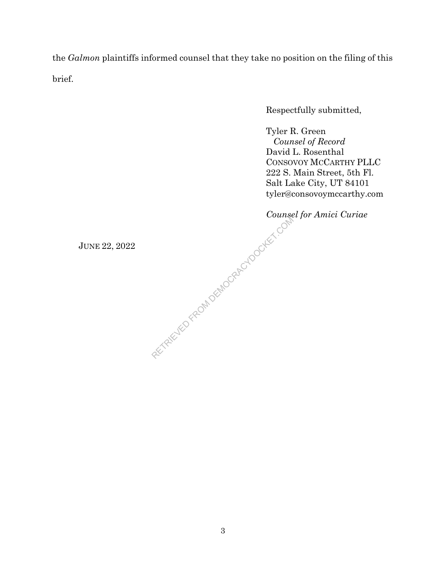the *Galmon* plaintiffs informed counsel that they take no position on the filing of this brief.

Respectfully submitted,

Tyler R. Green *Counsel of Record*  David L. Rosenthal CONSOVOY MCCARTHY PLLC 222 S. Main Street, 5th Fl. Salt Lake City, UT 84101 tyler@consovoymccarthy.com

*Counsel for Amici Curiae* Jours ...

JUNE 22, 2022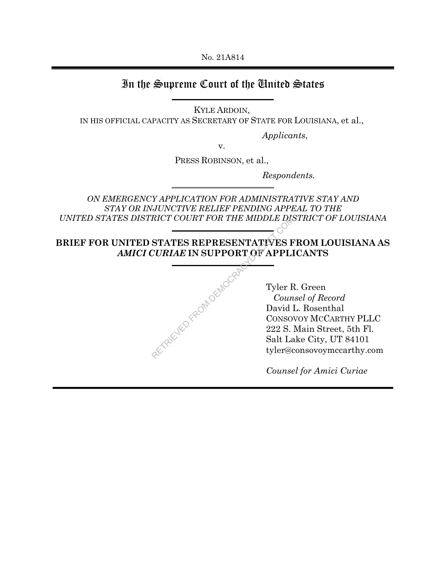No. 21A814

# In the Supreme Court of the United States

KYLE ARDOIN,

IN HIS OFFICIAL CAPACITY AS SECRETARY OF STATE FOR LOUISIANA, et al.,

 *Applicants*,

v.

PRESS ROBINSON, et al.,

 *Respondents.* 

*ON EMERGENCY APPLICATION FOR ADMINISTRATIVE STAY AND STAY OR INJUNCTIVE RELIEF PENDING APPEAL TO THE UNITED STATES DISTRICT COURT FOR THE MIDDLE DISTRICT OF LOUISIANA*

**BRIEF FOR UNITED STATES REPRESENTATIVES FROM LOUISIANA AS** *AMICI CURIAE* **IN SUPPORT OF APPLICANTS**

| RICT COURT FOR THE MIDDLE DR                                  |                                                                            |
|---------------------------------------------------------------|----------------------------------------------------------------------------|
| STATES REPRESENTATIVES F<br><i>CURIAE</i> IN SUPPORT OF APPLI |                                                                            |
| FIRAKUED FROM DEMOCRA                                         | Tyler F<br>Coun<br>David 1<br><b>CONSO</b><br>222 S.<br>Salt La<br>tyler@c |
|                                                               |                                                                            |

Tyler R. Green *Counsel of Record*  David L. Rosenthal CONSOVOY MCCARTHY PLLC 222 S. Main Street, 5th Fl. Salt Lake City, UT 84101 tyler@consovoymccarthy.com

*Counsel for Amici Curiae*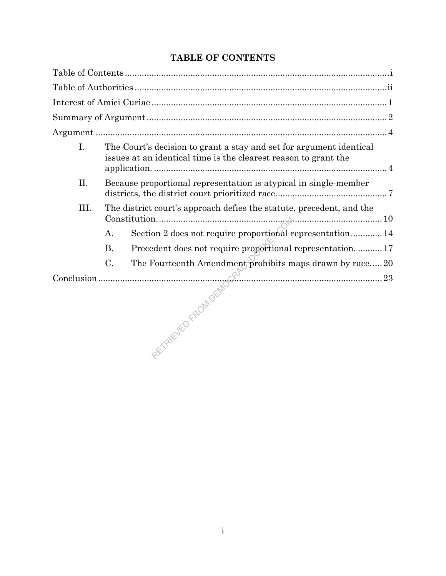| I.   |           | The Court's decision to grant a stay and set for argument identical<br>issues at an identical time is the clearest reason to grant the |
|------|-----------|----------------------------------------------------------------------------------------------------------------------------------------|
| II.  |           | Because proportional representation is atypical in single-member                                                                       |
| III. |           | The district court's approach defies the statute, precedent, and the                                                                   |
|      | Α.        | Section 2 does not require proportional representation 14                                                                              |
|      | <b>B.</b> | Precedent does not require proportional representation.  17                                                                            |
|      | $C$ .     | The Fourteenth Amendment prohibits maps drawn by race20                                                                                |
|      |           |                                                                                                                                        |
|      |           |                                                                                                                                        |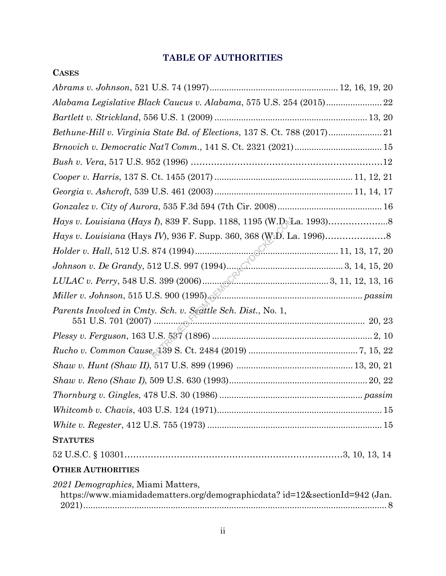# **TABLE OF AUTHORITIES**

**CASES**

| Alabama Legislative Black Caucus v. Alabama, 575 U.S. 254 (2015) 22                                              |  |
|------------------------------------------------------------------------------------------------------------------|--|
|                                                                                                                  |  |
|                                                                                                                  |  |
|                                                                                                                  |  |
|                                                                                                                  |  |
|                                                                                                                  |  |
|                                                                                                                  |  |
|                                                                                                                  |  |
|                                                                                                                  |  |
|                                                                                                                  |  |
|                                                                                                                  |  |
|                                                                                                                  |  |
|                                                                                                                  |  |
|                                                                                                                  |  |
| Parents Involved in Cmty. Sch. v. Seattle Sch. Dist., No. 1,                                                     |  |
|                                                                                                                  |  |
|                                                                                                                  |  |
|                                                                                                                  |  |
|                                                                                                                  |  |
| $\label{prop:main} \emph{Thoruburg $v$.} \emph{Gingles, 478 U.S. 30 (1986) }.$                                   |  |
|                                                                                                                  |  |
|                                                                                                                  |  |
| <b>STATUTES</b>                                                                                                  |  |
|                                                                                                                  |  |
| <b>OTHER AUTHORITIES</b>                                                                                         |  |
| 2021 Demographics, Miami Matters,<br>https://www.miamidadematters.org/demographicdata? id=12&sectionId=942 (Jan. |  |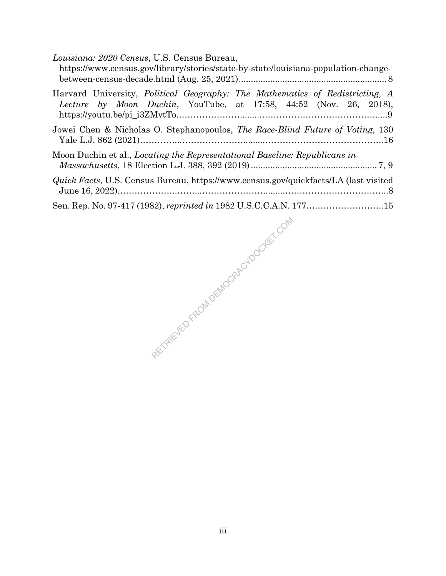| Louisiana: 2020 Census, U.S. Census Bureau,<br>https://www.census.gov/library/stories/state-by-state/louisiana-population-change-                        |
|----------------------------------------------------------------------------------------------------------------------------------------------------------|
| Harvard University, <i>Political Geography: The Mathematics of Redistricting, A</i><br>Lecture by Moon Duchin, YouTube, at 17:58, 44:52 (Nov. 26, 2018), |
| Jowei Chen & Nicholas O. Stephanopoulos, The Race-Blind Future of Voting, 130                                                                            |
| Moon Duchin et al., <i>Locating the Representational Baseline: Republicans in</i>                                                                        |
| <i>Quick Facts</i> , U.S. Census Bureau, https://www.census.gov/quickfacts/LA (last visited                                                              |
|                                                                                                                                                          |

RETRIEVED FROM DEMOCRACYDOCKET.COM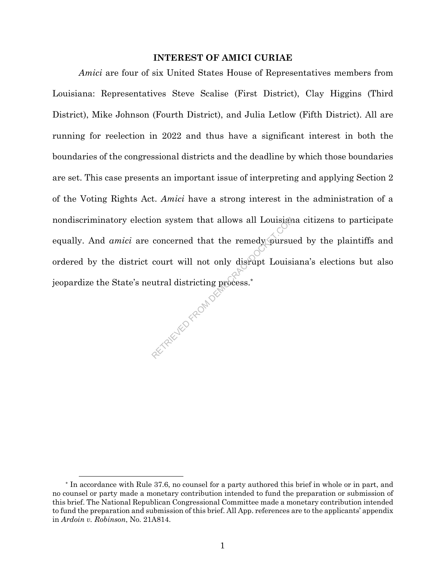### **INTEREST OF AMICI CURIAE**

*Amici* are four of six United States House of Representatives members from Louisiana: Representatives Steve Scalise (First District), Clay Higgins (Third District), Mike Johnson (Fourth District), and Julia Letlow (Fifth District). All are running for reelection in 2022 and thus have a significant interest in both the boundaries of the congressional districts and the deadline by which those boundaries are set. This case presents an important issue of interpreting and applying Section 2 of the Voting Rights Act. *Amici* have a strong interest in the administration of a nondiscriminatory election system that allows all Louisiana citizens to participate equally. And *amici* are concerned that the remedy pursued by the plaintiffs and ordered by the district court will not only disrupt Louisiana's elections but also jeopardize the State's neutral districting process.\* RETRIEVED FROM DEM

<sup>\*</sup> In accordance with Rule 37.6, no counsel for a party authored this brief in whole or in part, and no counsel or party made a monetary contribution intended to fund the preparation or submission of this brief. The National Republican Congressional Committee made a monetary contribution intended to fund the preparation and submission of this brief. All App. references are to the applicants' appendix in *Ardoin v. Robinson*, No. 21A814.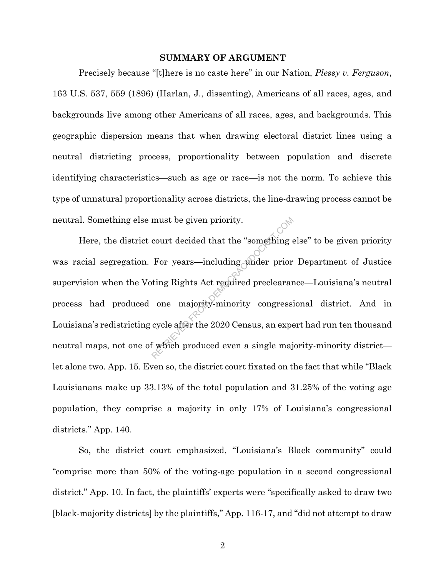#### **SUMMARY OF ARGUMENT**

Precisely because "[t]here is no caste here" in our Nation, *Plessy v. Ferguson*, 163 U.S. 537, 559 (1896) (Harlan, J., dissenting), Americans of all races, ages, and backgrounds live among other Americans of all races, ages, and backgrounds. This geographic dispersion means that when drawing electoral district lines using a neutral districting process, proportionality between population and discrete identifying characteristics—such as age or race—is not the norm. To achieve this type of unnatural proportionality across districts, the line-drawing process cannot be neutral. Something else must be given priority.

Here, the district court decided that the "something else" to be given priority was racial segregation. For years—including under prior Department of Justice supervision when the Voting Rights Act required preclearance—Louisiana's neutral process had produced one majority-minority congressional district. And in Louisiana's redistricting cycle after the 2020 Census, an expert had run ten thousand neutral maps, not one of which produced even a single majority-minority district let alone two. App. 15. Even so, the district court fixated on the fact that while "Black Louisianans make up 33.13% of the total population and 31.25% of the voting age population, they comprise a majority in only 17% of Louisiana's congressional districts." App. 140. must be given priority.<br>
court decided that the "something explicit of the something and prior<br>
for years—including ander prior<br>
ting Rights Act required preclearar<br>
one majority-minority congress:<br>
cycle after the 2020 Ce

So, the district court emphasized, "Louisiana's Black community" could "comprise more than 50% of the voting-age population in a second congressional district." App. 10. In fact, the plaintiffs' experts were "specifically asked to draw two [black-majority districts] by the plaintiffs," App. 116-17, and "did not attempt to draw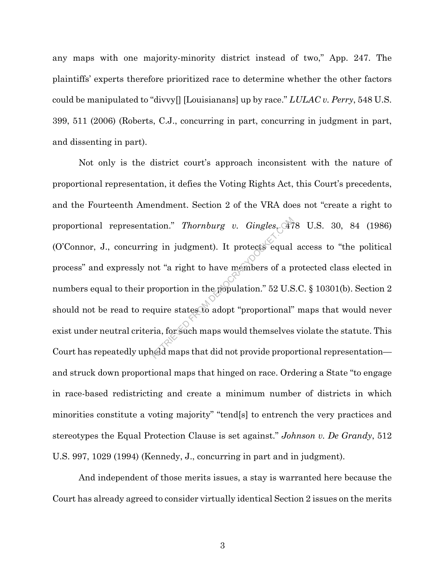any maps with one majority-minority district instead of two," App. 247. The plaintiffs' experts therefore prioritized race to determine whether the other factors could be manipulated to "divvy[] [Louisianans] up by race." *LULAC v. Perry*, 548 U.S. 399, 511 (2006) (Roberts, C.J., concurring in part, concurring in judgment in part, and dissenting in part).

Not only is the district court's approach inconsistent with the nature of proportional representation, it defies the Voting Rights Act, this Court's precedents, and the Fourteenth Amendment. Section 2 of the VRA does not "create a right to proportional representation." *Thornburg v. Gingles*, 478 U.S. 30, 84 (1986) (O'Connor, J., concurring in judgment). It protects equal access to "the political process" and expressly not "a right to have members of a protected class elected in numbers equal to their proportion in the population." 52 U.S.C. § 10301(b). Section 2 should not be read to require states to adopt "proportional" maps that would never exist under neutral criteria, for such maps would themselves violate the statute. This Court has repeatedly upheld maps that did not provide proportional representation and struck down proportional maps that hinged on race. Ordering a State "to engage in race-based redistricting and create a minimum number of districts in which minorities constitute a voting majority" "tend[s] to entrench the very practices and stereotypes the Equal Protection Clause is set against." *Johnson v. De Grandy*, 512 U.S. 997, 1029 (1994) (Kennedy, J., concurring in part and in judgment). Thornburg v. Gingles. 47<br>
In judgment). It protects equal<br>
not "a right to have members of a p<br>
roportion in the population." 52 U.S<br>
quire states to adopt "proportional"<br>
ria, for such maps would themselves<br>
and maps that

And independent of those merits issues, a stay is warranted here because the Court has already agreed to consider virtually identical Section 2 issues on the merits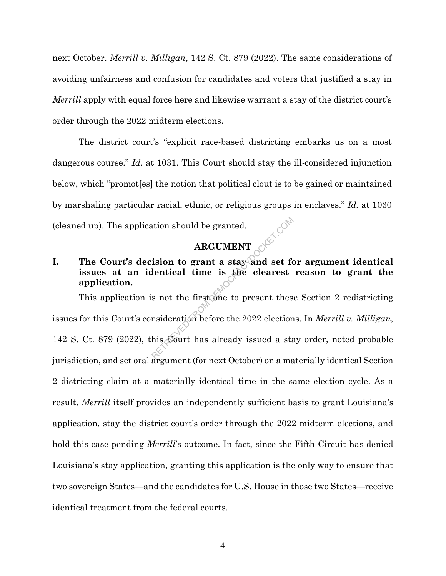next October. *Merrill v. Milligan*, 142 S. Ct. 879 (2022). The same considerations of avoiding unfairness and confusion for candidates and voters that justified a stay in *Merrill* apply with equal force here and likewise warrant a stay of the district court's order through the 2022 midterm elections.

The district court's "explicit race-based districting embarks us on a most dangerous course." *Id.* at 1031. This Court should stay the ill-considered injunction below, which "promot[es] the notion that political clout is to be gained or maintained by marshaling particular racial, ethnic, or religious groups in enclaves." *Id.* at 1030 (cleaned up). The application should be granted.

### **ARGUMENT**

# **I. The Court's decision to grant a stay and set for argument identical issues at an identical time is the clearest reason to grant the application.**

This application is not the first one to present these Section 2 redistricting issues for this Court's consideration before the 2022 elections. In *Merrill v. Milligan*, 142 S. Ct. 879 (2022), this Court has already issued a stay order, noted probable jurisdiction, and set oral argument (for next October) on a materially identical Section 2 districting claim at a materially identical time in the same election cycle. As a result, *Merrill* itself provides an independently sufficient basis to grant Louisiana's application, stay the district court's order through the 2022 midterm elections, and hold this case pending *Merrill*'s outcome. In fact, since the Fifth Circuit has denied Louisiana's stay application, granting this application is the only way to ensure that two sovereign States—and the candidates for U.S. House in those two States—receive identical treatment from the federal courts. ARGUMENT<br>
ARGUMENT<br>
ision to grant a stay and set for<br>
lentical time is the clearest<br>
s not the first one to present thes<br>
msideration before the 2022 election<br>
his Court has already issued a sta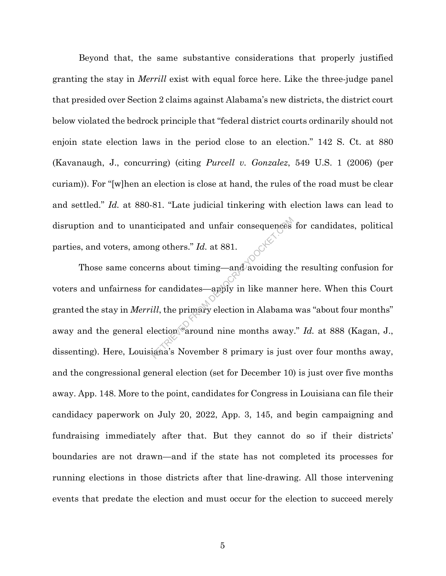Beyond that, the same substantive considerations that properly justified granting the stay in *Merrill* exist with equal force here. Like the three-judge panel that presided over Section 2 claims against Alabama's new districts, the district court below violated the bedrock principle that "federal district courts ordinarily should not enjoin state election laws in the period close to an election." 142 S. Ct. at 880 (Kavanaugh, J., concurring) (citing *Purcell v. Gonzalez*, 549 U.S. 1 (2006) (per curiam)). For "[w]hen an election is close at hand, the rules of the road must be clear and settled." *Id.* at 880-81. "Late judicial tinkering with election laws can lead to disruption and to unanticipated and unfair consequences for candidates, political parties, and voters, among others." *Id.* at 881.

 Those same concerns about timing—and avoiding the resulting confusion for voters and unfairness for candidates—apply in like manner here. When this Court granted the stay in *Merrill*, the primary election in Alabama was "about four months" away and the general election <sup>F</sup>around nine months away." *Id.* at 888 (Kagan, J., dissenting). Here, Louisiana's November 8 primary is just over four months away, and the congressional general election (set for December 10) is just over five months away. App. 148. More to the point, candidates for Congress in Louisiana can file their candidacy paperwork on July 20, 2022, App. 3, 145, and begin campaigning and fundraising immediately after that. But they cannot do so if their districts' boundaries are not drawn—and if the state has not completed its processes for running elections in those districts after that line-drawing. All those intervening events that predate the election and must occur for the election to succeed merely icipated and unfair consequences<br>
Ing others." Id. at 881.<br>
Ins about timing—and avoiding the<br>
Instruction of the manne<br>
Ill, the primary election in Alabama<br>
lection "around nine months away<br>
lection "around nine months a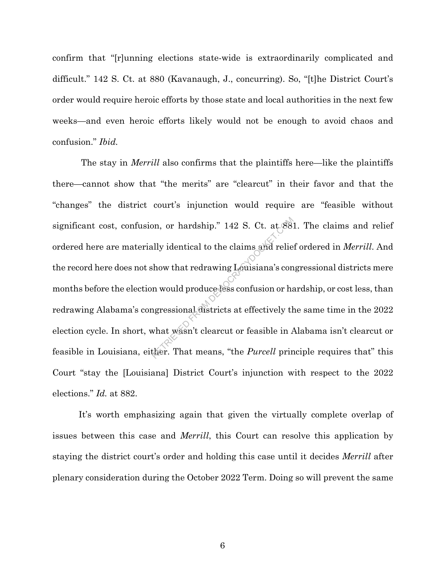confirm that "[r]unning elections state-wide is extraordinarily complicated and difficult." 142 S. Ct. at 880 (Kavanaugh, J., concurring). So, "[t]he District Court's order would require heroic efforts by those state and local authorities in the next few weeks—and even heroic efforts likely would not be enough to avoid chaos and confusion." *Ibid.* 

 The stay in *Merrill* also confirms that the plaintiffs here—like the plaintiffs there—cannot show that "the merits" are "clearcut" in their favor and that the "changes" the district court's injunction would require are "feasible without significant cost, confusion, or hardship." 142 S. Ct. at 881. The claims and relief ordered here are materially identical to the claims and relief ordered in *Merrill*. And the record here does not show that redrawing Louisiana's congressional districts mere months before the election would produce less confusion or hardship, or cost less, than redrawing Alabama's congressional districts at effectively the same time in the 2022 election cycle. In short, what wasn't clearcut or feasible in Alabama isn't clearcut or feasible in Louisiana, either. That means, "the *Purcell* principle requires that" this Court "stay the [Louisiana] District Court's injunction with respect to the 2022 elections." *Id.* at 882. on, or hardship." 142 S. Ct. at 88.<br>
Ally identical to the claims and relie<br>
show that redrawing Louisiana's con<br>
n would produce less confusion or ha<br>
ngressional districts at effectively th<br>
what wasn't clearcut or feasi

It's worth emphasizing again that given the virtually complete overlap of issues between this case and *Merrill*, this Court can resolve this application by staying the district court's order and holding this case until it decides *Merrill* after plenary consideration during the October 2022 Term. Doing so will prevent the same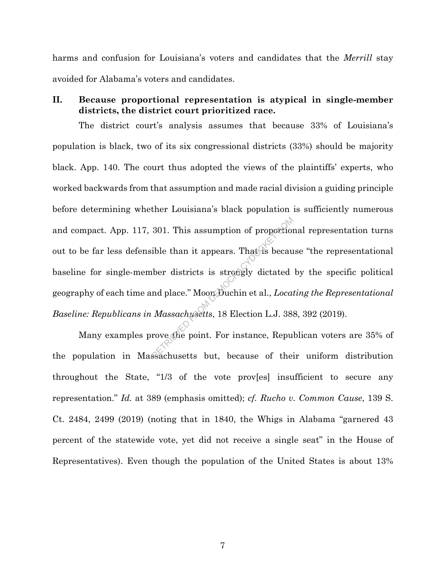harms and confusion for Louisiana's voters and candidates that the *Merrill* stay avoided for Alabama's voters and candidates.

## **II. Because proportional representation is atypical in single-member districts, the district court prioritized race.**

The district court's analysis assumes that because 33% of Louisiana's population is black, two of its six congressional districts (33%) should be majority black. App. 140. The court thus adopted the views of the plaintiffs' experts, who worked backwards from that assumption and made racial division a guiding principle before determining whether Louisiana's black population is sufficiently numerous and compact. App. 117, 301. This assumption of proportional representation turns out to be far less defensible than it appears. That is because "the representational baseline for single-member districts is strongly dictated by the specific political geography of each time and place." Moon Duchin et al., *Locating the Representational Baseline: Republicans in Massachusetts*, 18 Election L.J. 388, 392 (2019). 301. This assumption of proportion<br>ible than it appears. That is becau<br>ther districts is strongly dictated<br>nd place." Moor Duchin et al., *Local*<br>Massachusetts, 18 Election L.J. 38<br>rove the point. For instance, Repu

Many examples prove the point. For instance, Republican voters are 35% of the population in Massachusetts but, because of their uniform distribution throughout the State, "1/3 of the vote prov[es] insufficient to secure any representation." *Id.* at 389 (emphasis omitted); *cf. Rucho v. Common Cause*, 139 S. Ct. 2484, 2499 (2019) (noting that in 1840, the Whigs in Alabama "garnered 43 percent of the statewide vote, yet did not receive a single seat" in the House of Representatives). Even though the population of the United States is about 13%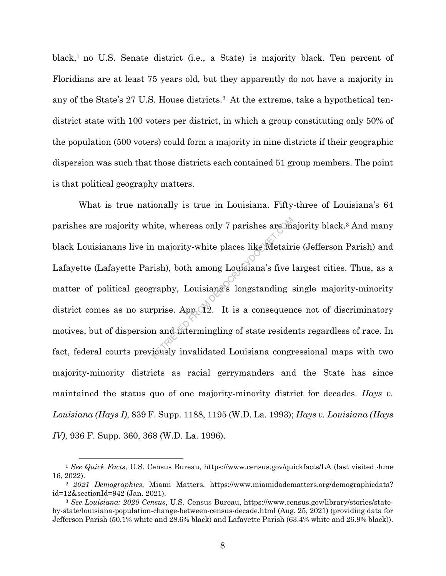black,<sup>1</sup> no U.S. Senate district (i.e., a State) is majority black. Ten percent of Floridians are at least 75 years old, but they apparently do not have a majority in any of the State's 27 U.S. House districts.2 At the extreme, take a hypothetical tendistrict state with 100 voters per district, in which a group constituting only 50% of the population (500 voters) could form a majority in nine districts if their geographic dispersion was such that those districts each contained 51 group members. The point is that political geography matters.

What is true nationally is true in Louisiana. Fifty-three of Louisiana's 64 parishes are majority white, whereas only 7 parishes are majority black.<sup>3</sup> And many black Louisianans live in majority-white places like Metairie (Jefferson Parish) and Lafayette (Lafayette Parish), both among Louisiana's five largest cities. Thus, as a matter of political geography, Louisiana's longstanding single majority-minority district comes as no surprise. App.  $Q2$ . It is a consequence not of discriminatory motives, but of dispersion and intermingling of state residents regardless of race. In fact, federal courts previously invalidated Louisiana congressional maps with two majority-minority districts as racial gerrymanders and the State has since maintained the status quo of one majority-minority district for decades. *Hays v. Louisiana (Hays I)*, 839 F. Supp. 1188, 1195 (W.D. La. 1993); *Hays v. Louisiana (Hays IV)*, 936 F. Supp. 360, 368 (W.D. La. 1996). ite, whereas only 7 parishes are maintain and manipulation and manipulation and manipulation and manipulation and manipulation and manipulation and manipulation and manipulated contained by the state resider is a consequen

<sup>1</sup> *See Quick Facts*, U.S. Census Bureau, https://www.census.gov/quickfacts/LA (last visited June 16, 2022).

<sup>2</sup> *2021 Demographics*, Miami Matters, https://www.miamidadematters.org/demographicdata? id=12&sectionId=942 (Jan. 2021).

<sup>3</sup> *See Louisiana: 2020 Census*, U.S. Census Bureau, https://www.census.gov/library/stories/stateby-state/louisiana-population-change-between-census-decade.html (Aug. 25, 2021) (providing data for Jefferson Parish (50.1% white and 28.6% black) and Lafayette Parish (63.4% white and 26.9% black)).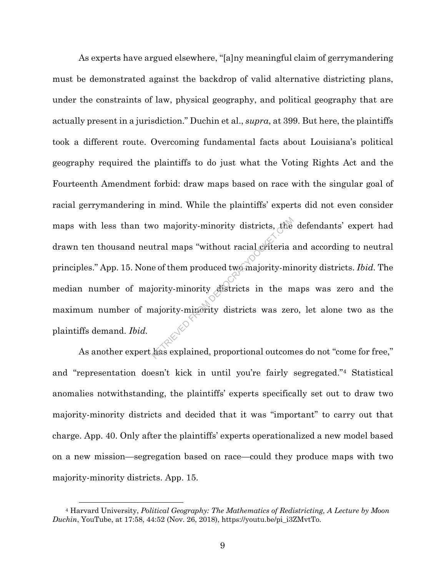As experts have argued elsewhere, "[a]ny meaningful claim of gerrymandering must be demonstrated against the backdrop of valid alternative districting plans, under the constraints of law, physical geography, and political geography that are actually present in a jurisdiction." Duchin et al., *supra*, at 399. But here, the plaintiffs took a different route. Overcoming fundamental facts about Louisiana's political geography required the plaintiffs to do just what the Voting Rights Act and the Fourteenth Amendment forbid: draw maps based on race with the singular goal of racial gerrymandering in mind. While the plaintiffs' experts did not even consider maps with less than two majority-minority districts, the defendants' expert had drawn ten thousand neutral maps "without racial criteria and according to neutral principles." App. 15. None of them produced two majority-minority districts. *Ibid.* The median number of majority-minority districts in the maps was zero and the maximum number of majority-minority districts was zero, let alone two as the plaintiffs demand. *Ibid.* We majority-minority districts, the<br>tral maps "without racial criteria :<br>e of them produced two majority-minority<br>jority-minority districts in the m<br>najority-minority districts was zer<br>has explained, proportional outcom

As another expert has explained, proportional outcomes do not "come for free," and "representation doesn't kick in until you're fairly segregated."<sup>4</sup> Statistical anomalies notwithstanding, the plaintiffs' experts specifically set out to draw two majority-minority districts and decided that it was "important" to carry out that charge. App. 40. Only after the plaintiffs' experts operationalized a new model based on a new mission—segregation based on race—could they produce maps with two majority-minority districts. App. 15.

<sup>4</sup> Harvard University, *Political Geography: The Mathematics of Redistricting, A Lecture by Moon Duchin*, YouTube, at 17:58, 44:52 (Nov. 26, 2018), https://youtu.be/pi\_i3ZMvtTo.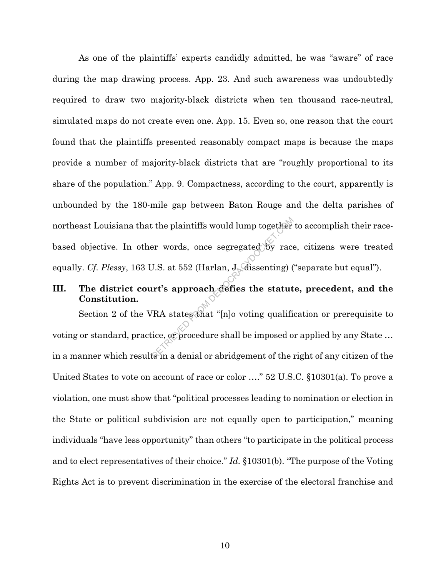As one of the plaintiffs' experts candidly admitted, he was "aware" of race during the map drawing process. App. 23. And such awareness was undoubtedly required to draw two majority-black districts when ten thousand race-neutral, simulated maps do not create even one. App. 15. Even so, one reason that the court found that the plaintiffs presented reasonably compact maps is because the maps provide a number of majority-black districts that are "roughly proportional to its share of the population." App. 9. Compactness, according to the court, apparently is unbounded by the 180-mile gap between Baton Rouge and the delta parishes of northeast Louisiana that the plaintiffs would lump together to accomplish their racebased objective. In other words, once segregated by race, citizens were treated equally. *Cf. Plessy*, 163 U.S. at 552 (Harlan, J. dissenting) ("separate but equal"). External to plaintiffs would lump together<br>
er words, once segregated by race<br>
J.S. at 552 (Harlan, J. dissenting) (<br> **IT's approach defies the statut**<br>
TRA states that "[n]o voting qualifi<br>
ice, or procedure shall be impo

# **III. The district court's approach defies the statute, precedent, and the Constitution.**

Section 2 of the VRA states that "[n]o voting qualification or prerequisite to voting or standard, practice, or procedure shall be imposed or applied by any State ... in a manner which results in a denial or abridgement of the right of any citizen of the United States to vote on account of race or color …." 52 U.S.C. §10301(a). To prove a violation, one must show that "political processes leading to nomination or election in the State or political subdivision are not equally open to participation," meaning individuals "have less opportunity" than others "to participate in the political process and to elect representatives of their choice." *Id.* §10301(b). "The purpose of the Voting Rights Act is to prevent discrimination in the exercise of the electoral franchise and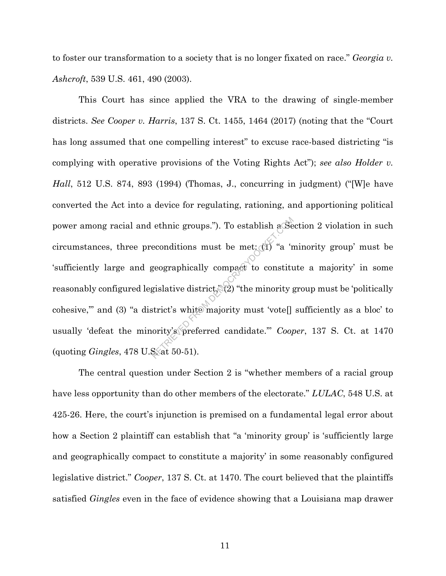to foster our transformation to a society that is no longer fixated on race." *Georgia v. Ashcroft*, 539 U.S. 461, 490 (2003).

This Court has since applied the VRA to the drawing of single-member districts. *See Cooper v. Harris*, 137 S. Ct. 1455, 1464 (2017) (noting that the "Court has long assumed that one compelling interest" to excuse race-based districting "is complying with operative provisions of the Voting Rights Act"); *see also Holder v. Hall*, 512 U.S. 874, 893 (1994) (Thomas, J., concurring in judgment) ("[W]e have converted the Act into a device for regulating, rationing, and apportioning political power among racial and ethnic groups."). To establish a Section 2 violation in such circumstances, three preconditions must be met:  $\left(\mathbb{I}\right)$  "a 'minority group' must be 'sufficiently large and geographically compact to constitute a majority' in some reasonably configured legislative district,  $(2)$  "the minority group must be 'politically cohesive,'" and (3) "a district's white majority must 'vote[] sufficiently as a bloc' to usually 'defeat the minority's preferred candidate.'" *Cooper*, 137 S. Ct. at 1470 (quoting *Gingles*, 478 U.S. at 50-51). ethnic groups."). To establish a Se<br>econditions must be met:  $\frac{1}{2}$  "a 'r<br>geographically compact to constitute gislative district," (2) "the minority g<br>strict's white majority must 'vote[]<br>ority's preferred candidate."

The central question under Section 2 is "whether members of a racial group have less opportunity than do other members of the electorate." *LULAC*, 548 U.S. at 425-26. Here, the court's injunction is premised on a fundamental legal error about how a Section 2 plaintiff can establish that "a 'minority group' is 'sufficiently large and geographically compact to constitute a majority' in some reasonably configured legislative district." *Cooper*, 137 S. Ct. at 1470. The court believed that the plaintiffs satisfied *Gingles* even in the face of evidence showing that a Louisiana map drawer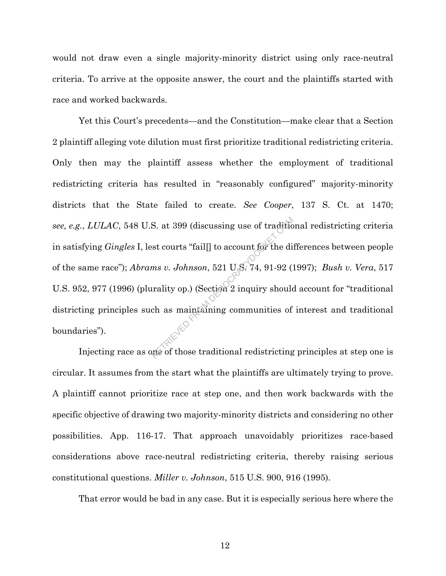would not draw even a single majority-minority district using only race-neutral criteria. To arrive at the opposite answer, the court and the plaintiffs started with race and worked backwards.

Yet this Court's precedents—and the Constitution—make clear that a Section 2 plaintiff alleging vote dilution must first prioritize traditional redistricting criteria. Only then may the plaintiff assess whether the employment of traditional redistricting criteria has resulted in "reasonably configured" majority-minority districts that the State failed to create. *See Cooper*, 137 S. Ct. at 1470; *see, e.g.*, *LULAC*, 548 U.S. at 399 (discussing use of traditional redistricting criteria in satisfying *Gingles* I, lest courts "fail[] to account for the differences between people of the same race"); *Abrams v. Johnson*, 521 U.S. 74, 91-92 (1997); *Bush v. Vera*, 517 U.S. 952, 977 (1996) (plurality op.) (Section 2 inquiry should account for "traditional districting principles such as maintaining communities of interest and traditional boundaries"). S. at 399 (discussing use of traditionst courts "fail[] to account for the dimons v. Johnson, 521 U.S. 74, 91-92 (Tradity op.) (Section 2 inquiry should change maintaining communities of those traditional redistricting

Injecting race as one of those traditional redistricting principles at step one is circular. It assumes from the start what the plaintiffs are ultimately trying to prove. A plaintiff cannot prioritize race at step one, and then work backwards with the specific objective of drawing two majority-minority districts and considering no other possibilities. App. 116-17. That approach unavoidably prioritizes race-based considerations above race-neutral redistricting criteria, thereby raising serious constitutional questions. *Miller v. Johnson*, 515 U.S. 900, 916 (1995).

That error would be bad in any case. But it is especially serious here where the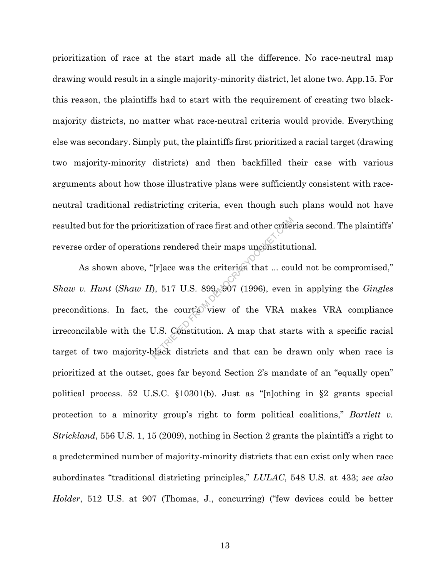prioritization of race at the start made all the difference. No race-neutral map drawing would result in a single majority-minority district, let alone two. App.15. For this reason, the plaintiffs had to start with the requirement of creating two blackmajority districts, no matter what race-neutral criteria would provide. Everything else was secondary. Simply put, the plaintiffs first prioritized a racial target (drawing two majority-minority districts) and then backfilled their case with various arguments about how those illustrative plans were sufficiently consistent with raceneutral traditional redistricting criteria, even though such plans would not have resulted but for the prioritization of race first and other criteria second. The plaintiffs' reverse order of operations rendered their maps unconstitutional.

As shown above, "[r]ace was the criterion that ... could not be compromised," *Shaw v. Hunt* (*Shaw II*), 517 U.S. 899, 907 (1996), even in applying the *Gingles* preconditions. In fact, the court's view of the VRA makes VRA compliance irreconcilable with the U.S. Constitution. A map that starts with a specific racial target of two majority-black districts and that can be drawn only when race is prioritized at the outset, goes far beyond Section 2's mandate of an "equally open" political process. 52 U.S.C. §10301(b). Just as "[n]othing in §2 grants special protection to a minority group's right to form political coalitions," *Bartlett v. Strickland*, 556 U.S. 1, 15 (2009), nothing in Section 2 grants the plaintiffs a right to a predetermined number of majority-minority districts that can exist only when race subordinates "traditional districting principles," *LULAC*, 548 U.S. at 433; *see also Holder*, 512 U.S. at 907 (Thomas, J., concurring) ("few devices could be better itization of race first and other criter<br>ms rendered their maps unconstitut<br>"[r]ace was the criterion that ... cou<br>"), 517 U.S. 899, 907 (1996), even<br>the court's view of the VRA r<br>U.S. Constitution. A map that star<br>plack d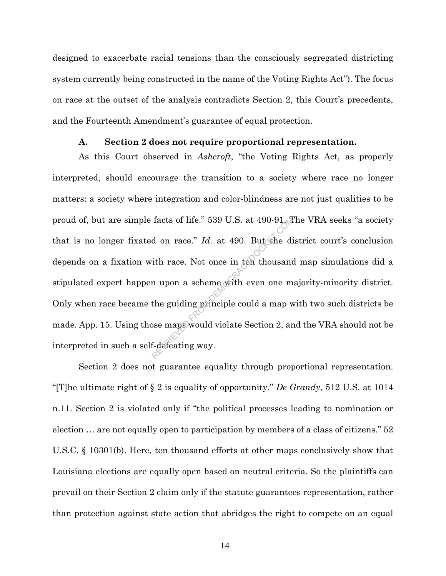designed to exacerbate racial tensions than the consciously segregated districting system currently being constructed in the name of the Voting Rights Act"). The focus on race at the outset of the analysis contradicts Section 2, this Court's precedents, and the Fourteenth Amendment's guarantee of equal protection.

#### **A. Section 2 does not require proportional representation.**

As this Court observed in *Ashcroft*, "the Voting Rights Act, as properly interpreted, should encourage the transition to a society where race no longer matters: a society where integration and color-blindness are not just qualities to be proud of, but are simple facts of life." 539 U.S. at 490-91. The VRA seeks "a society that is no longer fixated on race."  $Id$ . at 490. But the district court's conclusion depends on a fixation with race. Not once in ten thousand map simulations did a stipulated expert happen upon a scheme with even one majority-minority district. Only when race became the guiding principle could a map with two such districts be made. App. 15. Using those maps would violate Section 2, and the VRA should not be interpreted in such a self-defeating way. facts of life." 539 U.S. at 490-91. The dividend on race." Id. at 490. But the divide dividend in the scheme with even one m the guiding principle could a map was maps would violate Section 2, and f-defeating way.

Section 2 does not guarantee equality through proportional representation. "[T]he ultimate right of § 2 is equality of opportunity." *De Grandy*, 512 U.S. at 1014 n.11. Section 2 is violated only if "the political processes leading to nomination or election … are not equally open to participation by members of a class of citizens." 52 U.S.C. § 10301(b). Here, ten thousand efforts at other maps conclusively show that Louisiana elections are equally open based on neutral criteria. So the plaintiffs can prevail on their Section 2 claim only if the statute guarantees representation, rather than protection against state action that abridges the right to compete on an equal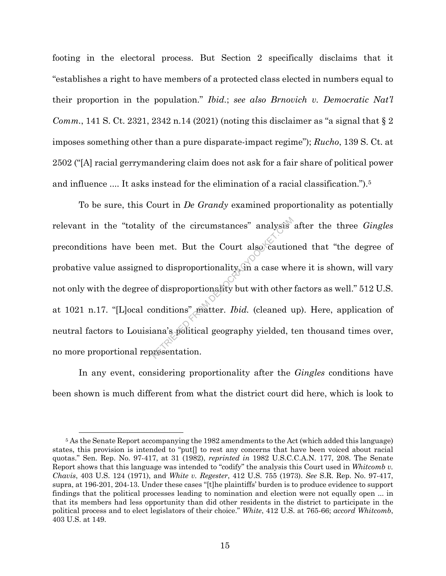footing in the electoral process. But Section 2 specifically disclaims that it "establishes a right to have members of a protected class elected in numbers equal to their proportion in the population." *Ibid.*; *see also Brnovich v. Democratic Nat'l Comm.*, 141 S. Ct. 2321, 2342 n.14 (2021) (noting this disclaimer as "a signal that  $\S 2$ imposes something other than a pure disparate-impact regime"); *Rucho*, 139 S. Ct. at 2502 ("[A] racial gerrymandering claim does not ask for a fair share of political power and influence .... It asks instead for the elimination of a racial classification.").<sup>5</sup>

To be sure, this Court in *De Grandy* examined proportionality as potentially relevant in the "totality of the circumstances" analysis after the three *Gingles*<br>preconditions have been met. But the Court also cautioned that "the degree of<br>probative value assigned to disproportionality. The acase whe preconditions have been met. But the Court also cautioned that "the degree of probative value assigned to disproportionality, in a case where it is shown, will vary not only with the degree of disproportionality but with other factors as well." 512 U.S. at 1021 n.17. "[L]ocal conditions" matter. *Ibid.* (cleaned up). Here, application of neutral factors to Louisiana's political geography yielded, ten thousand times over, no more proportional representation.

In any event, considering proportionality after the *Gingles* conditions have been shown is much different from what the district court did here, which is look to

<sup>5</sup> As the Senate Report accompanying the 1982 amendments to the Act (which added this language) states, this provision is intended to "put[] to rest any concerns that have been voiced about racial quotas." Sen. Rep. No. 97-417, at 31 (1982), *reprinted in* 1982 U.S.C.C.A.N. 177, 208. The Senate Report shows that this language was intended to "codify" the analysis this Court used in *Whitcomb v. Chavis*, 403 U.S. 124 (1971), and *White v. Regester*, 412 U.S. 755 (1973). *See* S.R. Rep. No. 97-417, supra, at 196-201, 204-13. Under these cases "[t]he plaintiffs' burden is to produce evidence to support findings that the political processes leading to nomination and election were not equally open ... in that its members had less opportunity than did other residents in the district to participate in the political process and to elect legislators of their choice." *White*, 412 U.S. at 765-66; *accord Whitcomb*, 403 U.S. at 149.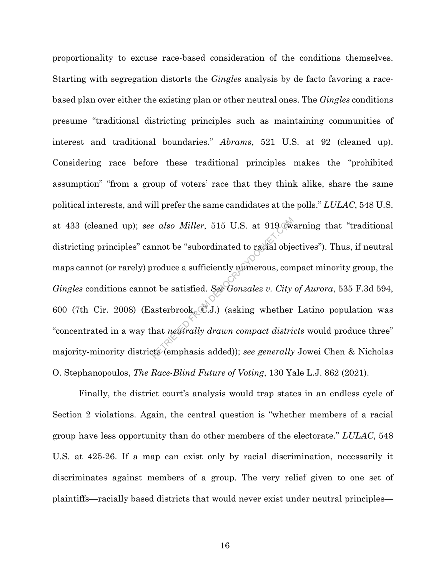proportionality to excuse race-based consideration of the conditions themselves. Starting with segregation distorts the *Gingles* analysis by de facto favoring a racebased plan over either the existing plan or other neutral ones. The *Gingles* conditions presume "traditional districting principles such as maintaining communities of interest and traditional boundaries." *Abrams*, 521 U.S. at 92 (cleaned up). Considering race before these traditional principles makes the "prohibited assumption" "from a group of voters' race that they think alike, share the same political interests, and will prefer the same candidates at the polls." *LULAC*, 548 U.S. at 433 (cleaned up); *see also Miller*, 515 U.S. at 919 (warning that "traditional districting principles" cannot be "subordinated to racial objectives"). Thus, if neutral maps cannot (or rarely) produce a sufficiently numerous, compact minority group, the *Gingles* conditions cannot be satisfied. *See Gonzalez v. City of Aurora*, 535 F.3d 594, 600 (7th Cir. 2008) (Easterbrook, C.J.) (asking whether Latino population was "concentrated in a way that *neutrally drawn compact districts* would produce three" majority-minority districts (emphasis added)); *see generally* Jowei Chen & Nicholas O. Stephanopoulos, *The Race-Blind Future of Voting*, 130 Yale L.J. 862 (2021). e also Miller, 515 U.S. at 919 (where the "subordinated to racial objest)<br>mnot be "subordinated to racial objest)<br>produce a sufficiently numerous, compt<br>to be satisfied. See Gonzalez v. City<br>asterbrook, C.J.) (asking wheth

Finally, the district court's analysis would trap states in an endless cycle of Section 2 violations. Again, the central question is "whether members of a racial group have less opportunity than do other members of the electorate." *LULAC*, 548 U.S. at 425-26. If a map can exist only by racial discrimination, necessarily it discriminates against members of a group. The very relief given to one set of plaintiffs—racially based districts that would never exist under neutral principles—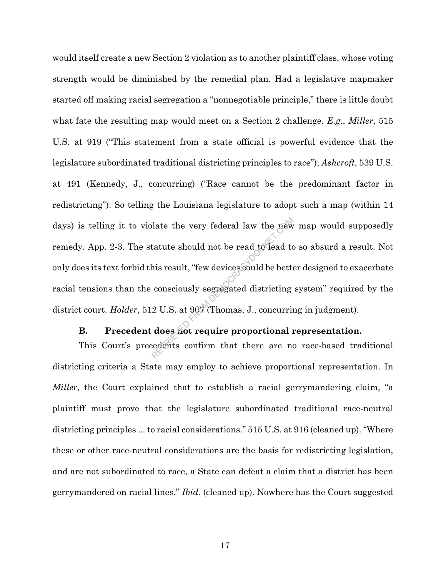would itself create a new Section 2 violation as to another plaintiff class, whose voting strength would be diminished by the remedial plan. Had a legislative mapmaker started off making racial segregation a "nonnegotiable principle," there is little doubt what fate the resulting map would meet on a Section 2 challenge. *E.g.*, *Miller*, 515 U.S. at 919 ("This statement from a state official is powerful evidence that the legislature subordinated traditional districting principles to race"); *Ashcroft*, 539 U.S. at 491 (Kennedy, J., concurring) ("Race cannot be the predominant factor in redistricting"). So telling the Louisiana legislature to adopt such a map (within 14 days) is telling it to violate the very federal law the new map would supposedly remedy. App. 2-3. The statute should not be read to lead to so absurd a result. Not only does its text forbid this result, "few devices could be better designed to exacerbate racial tensions than the consciously segregated districting system" required by the district court. *Holder*, 512 U.S. at 907 (Thomas, J., concurring in judgment). beta the very federal law the new<br>tatute should not be read to lead to<br>his result, "few devices could be betto<br>consciously segregated districting<br>2 U.S. at 907 (Thomas, J., concurring<br>does not require proportional is<br>edent

### **B. Precedent does not require proportional representation.**

This Court's precedents confirm that there are no race-based traditional districting criteria a State may employ to achieve proportional representation. In *Miller*, the Court explained that to establish a racial gerrymandering claim, "a plaintiff must prove that the legislature subordinated traditional race-neutral districting principles ... to racial considerations." 515 U.S. at 916 (cleaned up). "Where these or other race-neutral considerations are the basis for redistricting legislation, and are not subordinated to race, a State can defeat a claim that a district has been gerrymandered on racial lines." *Ibid.* (cleaned up). Nowhere has the Court suggested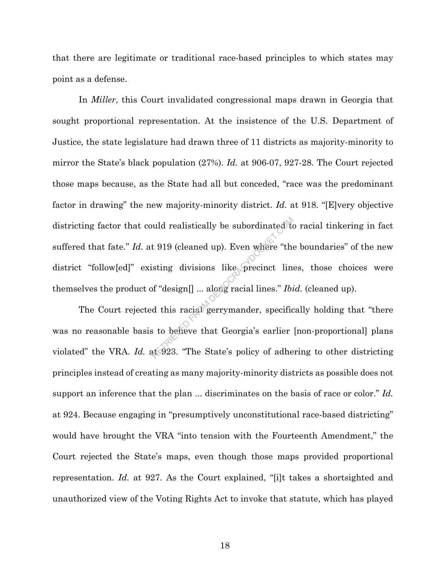that there are legitimate or traditional race-based principles to which states may point as a defense.

In *Miller*, this Court invalidated congressional maps drawn in Georgia that sought proportional representation. At the insistence of the U.S. Department of Justice, the state legislature had drawn three of 11 districts as majority-minority to mirror the State's black population (27%). *Id.* at 906-07, 927-28. The Court rejected those maps because, as the State had all but conceded, "race was the predominant factor in drawing" the new majority-minority district. *Id.* at 918. "[E]very objective districting factor that could realistically be subordinated to racial tinkering in fact suffered that fate." *Id.* at 919 (cleaned up). Even where "the boundaries" of the new district "follow[ed]" existing divisions like precinct lines, those choices were themselves the product of "design[] ... along racial lines." *Ibid.* (cleaned up). wild realistically be subordinated to<br>
t 919 (cleaned up). Even where "the<br>
isting divisions like precinct line<br>
of "design[] ... along racial lines." Ibi<br>
d this racial gerrymander, specific<br>
s to believe that Georgia's e

The Court rejected this racial gerrymander, specifically holding that "there was no reasonable basis to believe that Georgia's earlier [non-proportional] plans violated" the VRA. *Id.* at 923. "The State's policy of adhering to other districting principles instead of creating as many majority-minority districts as possible does not support an inference that the plan ... discriminates on the basis of race or color." *Id.* at 924. Because engaging in "presumptively unconstitutional race-based districting" would have brought the VRA "into tension with the Fourteenth Amendment," the Court rejected the State's maps, even though those maps provided proportional representation. *Id.* at 927. As the Court explained, "[i]t takes a shortsighted and unauthorized view of the Voting Rights Act to invoke that statute, which has played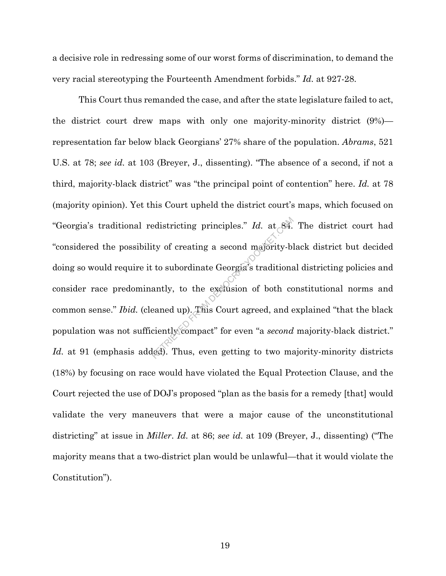a decisive role in redressing some of our worst forms of discrimination, to demand the very racial stereotyping the Fourteenth Amendment forbids." *Id.* at 927-28.

This Court thus remanded the case, and after the state legislature failed to act, the district court drew maps with only one majority-minority district (9%) representation far below black Georgians' 27% share of the population. *Abrams*, 521 U.S. at 78; *see id.* at 103 (Breyer, J., dissenting). "The absence of a second, if not a third, majority-black district" was "the principal point of contention" here. *Id.* at 78 (majority opinion). Yet this Court upheld the district court's maps, which focused on "Georgia's traditional redistricting principles." *Id.* at 84. The district court had "considered the possibility of creating a second majority-black district but decided doing so would require it to subordinate Georgia's traditional districting policies and consider race predominantly, to the exclusion of both constitutional norms and common sense." *Ibid.* (cleaned up). This Court agreed, and explained "that the black population was not sufficiently compact" for even "a *second* majority-black district." *Id.* at 91 (emphasis added). Thus, even getting to two majority-minority districts (18%) by focusing on race would have violated the Equal Protection Clause, and the Court rejected the use of DOJ's proposed "plan as the basis for a remedy [that] would validate the very maneuvers that were a major cause of the unconstitutional districting" at issue in *Miller*. *Id.* at 86; *see id.* at 109 (Breyer, J., dissenting) ("The majority means that a two-district plan would be unlawful—that it would violate the Constitution"). edistricting principles." Id. at 84.<br>ty of creating a second majority-blic to subordinate Georgia's traditions<br>antly, to the exclusion of both coverand up). This Court agreed, and  $\epsilon$ <br>ciently compact" for even "a second l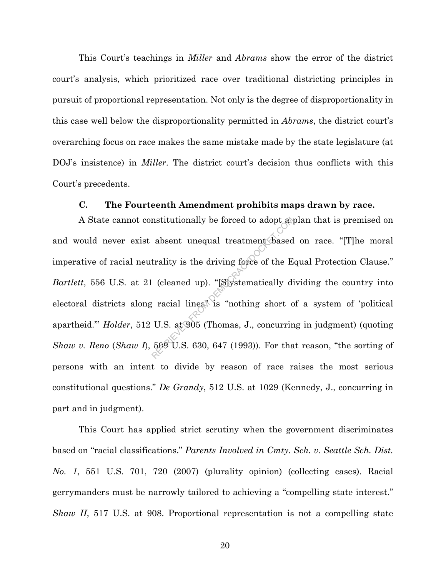This Court's teachings in *Miller* and *Abrams* show the error of the district court's analysis, which prioritized race over traditional districting principles in pursuit of proportional representation. Not only is the degree of disproportionality in this case well below the disproportionality permitted in *Abrams*, the district court's overarching focus on race makes the same mistake made by the state legislature (at DOJ's insistence) in *Miller*. The district court's decision thus conflicts with this Court's precedents.

### **C. The Fourteenth Amendment prohibits maps drawn by race.**

A State cannot constitutionally be forced to adopt a plan that is premised on and would never exist absent unequal treatment based on race. "[T]he moral imperative of racial neutrality is the driving force of the Equal Protection Clause." *Bartlett*, 556 U.S. at 21 (cleaned up). "[S]ystematically dividing the country into electoral districts along racial lines" is "nothing short of a system of 'political apartheid.'" *Holder*, 512 U.S. at 905 (Thomas, J., concurring in judgment) (quoting *Shaw v. Reno* (*Shaw I*), 509 U.S. 630, 647 (1993)). For that reason, "the sorting of persons with an intent to divide by reason of race raises the most serious constitutional questions." *De Grandy*, 512 U.S. at 1029 (Kennedy, J., concurring in part and in judgment). mstitutionally be forced to adopt as<br>absent unequal treatment based<br>trality is the driving force of the E.<br>(cleaned up). "[Systematically di<br>racial lines" is "nothing short c<br>U.S. at 905 (Thomas, J., concurrir<br>509 U.S. 630

This Court has applied strict scrutiny when the government discriminates based on "racial classifications." *Parents Involved in Cmty. Sch. v. Seattle Sch. Dist. No. 1*, 551 U.S. 701, 720 (2007) (plurality opinion) (collecting cases). Racial gerrymanders must be narrowly tailored to achieving a "compelling state interest." *Shaw II*, 517 U.S. at 908. Proportional representation is not a compelling state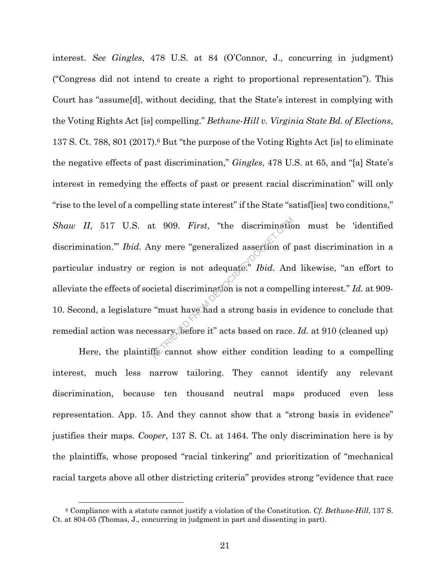interest. *See Gingles*, 478 U.S. at 84 (O'Connor, J., concurring in judgment) ("Congress did not intend to create a right to proportional representation"). This Court has "assume[d], without deciding, that the State's interest in complying with the Voting Rights Act [is] compelling." *Bethune-Hill v. Virginia State Bd. of Elections*, 137 S. Ct. 788, 801 (2017).6 But "the purpose of the Voting Rights Act [is] to eliminate the negative effects of past discrimination," *Gingles*, 478 U.S. at 65, and "[a] State's interest in remedying the effects of past or present racial discrimination" will only "rise to the level of a compelling state interest" if the State "satisf[ies] two conditions," *Shaw II*, 517 U.S. at 909. *First*, "the discrimination must be 'identified discrimination.'" *Ibid.* Any mere "generalized assertion of past discrimination in a particular industry or region is not adequate.<sup>"</sup> *Ibid*. And likewise, "an effort to alleviate the effects of societal discrimination is not a compelling interest." *Id.* at 909- 10. Second, a legislature "must have had a strong basis in evidence to conclude that remedial action was necessary, before it" acts based on race. *Id.* at 910 (cleaned up) t 909. *First*, "the discrimination"<br>ny mere "generalized assertion of<br>region is not adequate." *Ibid*. And<br>cietal discrimination is not a compel<br>"must have had a strong basis in e<br>essary before it" acts based on race.<br>fis

Here, the plaintiffs cannot show either condition leading to a compelling interest, much less narrow tailoring. They cannot identify any relevant discrimination, because ten thousand neutral maps produced even less representation. App. 15. And they cannot show that a "strong basis in evidence" justifies their maps. *Cooper*, 137 S. Ct. at 1464. The only discrimination here is by the plaintiffs, whose proposed "racial tinkering" and prioritization of "mechanical racial targets above all other districting criteria" provides strong "evidence that race

<sup>6</sup> Compliance with a statute cannot justify a violation of the Constitution. *Cf. Bethune-Hill*, 137 S. Ct. at 804-05 (Thomas, J., concurring in judgment in part and dissenting in part).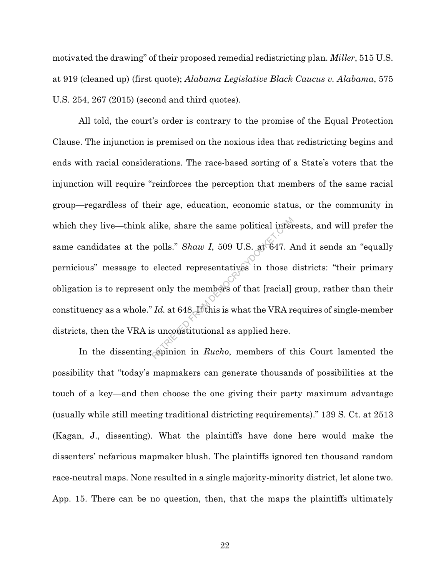motivated the drawing" of their proposed remedial redistricting plan. *Miller*, 515 U.S. at 919 (cleaned up) (first quote); *Alabama Legislative Black Caucus v. Alabama*, 575 U.S. 254, 267 (2015) (second and third quotes).

All told, the court's order is contrary to the promise of the Equal Protection Clause. The injunction is premised on the noxious idea that redistricting begins and ends with racial considerations. The race-based sorting of a State's voters that the injunction will require "reinforces the perception that members of the same racial group—regardless of their age, education, economic status, or the community in which they live—think alike, share the same political interests, and will prefer the same candidates at the polls." *Shaw I*, 509 U.S. at 647. And it sends an "equally pernicious" message to elected representatives in those districts: "their primary obligation is to represent only the members of that [racial] group, rather than their constituency as a whole." *Id.* at 648. If this is what the VRA requires of single-member districts, then the VRA is unconstitutional as applied here. Final political interpolitical interpolitical interpolitical political political political elected representatives in those of that [racial]  $Id$ . at 648. If this is what the VRA representatives is uncertainty in the VRA r

In the dissenting opinion in *Rucho*, members of this Court lamented the possibility that "today's mapmakers can generate thousands of possibilities at the touch of a key—and then choose the one giving their party maximum advantage (usually while still meeting traditional districting requirements)." 139 S. Ct. at 2513 (Kagan, J., dissenting). What the plaintiffs have done here would make the dissenters' nefarious mapmaker blush. The plaintiffs ignored ten thousand random race-neutral maps. None resulted in a single majority-minority district, let alone two. App. 15. There can be no question, then, that the maps the plaintiffs ultimately